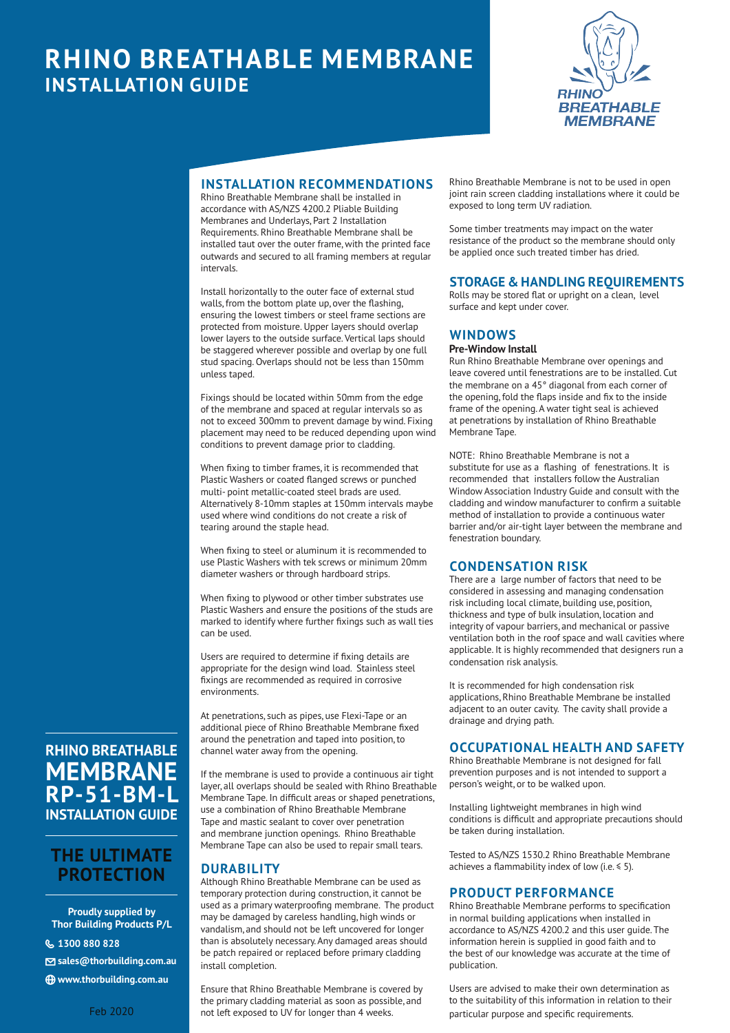# **RHINO BREATHABLE MEMBRANE INSTALLATION GUIDE**



## **INSTALLATION RECOMMENDATIONS**

Rhino Breathable Membrane shall be installed in accordance with AS/NZS 4200.2 Pliable Building Membranes and Underlays, Part 2 Installation Requirements. Rhino Breathable Membrane shall be installed taut over the outer frame, with the printed face outwards and secured to all framing members at regular intervals.

Install horizontally to the outer face of external stud walls, from the bottom plate up, over the flashing, ensuring the lowest timbers or steel frame sections are protected from moisture. Upper layers should overlap lower layers to the outside surface. Vertical laps should be staggered wherever possible and overlap by one full stud spacing. Overlaps should not be less than 150mm unless taped.

Fixings should be located within 50mm from the edge of the membrane and spaced at regular intervals so as not to exceed 300mm to prevent damage by wind. Fixing placement may need to be reduced depending upon wind conditions to prevent damage prior to cladding.

When fixing to timber frames, it is recommended that Plastic Washers or coated flanged screws or punched multi- point metallic-coated steel brads are used. Alternatively 8-10mm staples at 150mm intervals maybe used where wind conditions do not create a risk of tearing around the staple head.

When fixing to steel or aluminum it is recommended to use Plastic Washers with tek screws or minimum 20mm diameter washers or through hardboard strips.

When fixing to plywood or other timber substrates use Plastic Washers and ensure the positions of the studs are marked to identify where further fixings such as wall ties can be used.

Users are required to determine if fixing details are appropriate for the design wind load. Stainless steel fixings are recommended as required in corrosive environments.

At penetrations, such as pipes, use Flexi-Tape or an additional piece of Rhino Breathable Membrane fixed around the penetration and taped into position, to channel water away from the opening.

If the membrane is used to provide a continuous air tight layer, all overlaps should be sealed with Rhino Breathable Membrane Tape. In difficult areas or shaped penetrations, use a combination of Rhino Breathable Membrane Tape and mastic sealant to cover over penetration and membrane junction openings. Rhino Breathable Membrane Tape can also be used to repair small tears.

## **DURABILITY**

Although Rhino Breathable Membrane can be used as temporary protection during construction, it cannot be used as a primary waterproofing membrane. The product may be damaged by careless handling, high winds or vandalism, and should not be left uncovered for longer than is absolutely necessary. Any damaged areas should be patch repaired or replaced before primary cladding install completion.

Ensure that Rhino Breathable Membrane is covered by the primary cladding material as soon as possible, and not left exposed to UV for longer than 4 weeks.

Rhino Breathable Membrane is not to be used in open joint rain screen cladding installations where it could be exposed to long term UV radiation.

Some timber treatments may impact on the water resistance of the product so the membrane should only be applied once such treated timber has dried.

#### **STORAGE & HANDLING REQUIREMENTS**

Rolls may be stored flat or upright on a clean, level surface and kept under cover.

#### **WINDOWS**

#### **Pre-Window Install**

Run Rhino Breathable Membrane over openings and leave covered until fenestrations are to be installed. Cut the membrane on a 45° diagonal from each corner of the opening, fold the flaps inside and fix to the inside frame of the opening. A water tight seal is achieved at penetrations by installation of Rhino Breathable Membrane Tape.

NOTE: Rhino Breathable Membrane is not a substitute for use as a flashing of fenestrations. It is recommended that installers follow the Australian Window Association Industry Guide and consult with the cladding and window manufacturer to confirm a suitable method of installation to provide a continuous water barrier and/or air-tight layer between the membrane and fenestration boundary.

#### **CONDENSATION RISK**

There are a large number of factors that need to be considered in assessing and managing condensation risk including local climate, building use, position, thickness and type of bulk insulation, location and integrity of vapour barriers, and mechanical or passive ventilation both in the roof space and wall cavities where applicable. It is highly recommended that designers run a condensation risk analysis.

It is recommended for high condensation risk applications, Rhino Breathable Membrane be installed adjacent to an outer cavity. The cavity shall provide a drainage and drying path.

#### **OCCUPATIONAL HEALTH AND SAFETY**

Rhino Breathable Membrane is not designed for fall prevention purposes and is not intended to support a person's weight, or to be walked upon.

Installing lightweight membranes in high wind conditions is difficult and appropriate precautions should be taken during installation.

Tested to AS/NZS 1530.2 Rhino Breathable Membrane achieves a flammability index of low (i.e.  $\leq 5$ ).

## **PRODUCT PERFORMANCE**

Rhino Breathable Membrane performs to specification in normal building applications when installed in accordance to AS/NZS 4200.2 and this user guide. The information herein is supplied in good faith and to the best of our knowledge was accurate at the time of publication.

Users are advised to make their own determination as to the suitability of this information in relation to their particular purpose and specific requirements.

# **RHINO BREATHABLE MEMBRANE RP-51-BM-L INSTALLATION GUIDE**

# **THE ULTIMATE PROTECTION**

**Proudly supplied by Thor Building Products P/L**

{ **1300 880 828**

N **sales@thorbuilding.com.au**

i **www.thorbuilding.com.au**